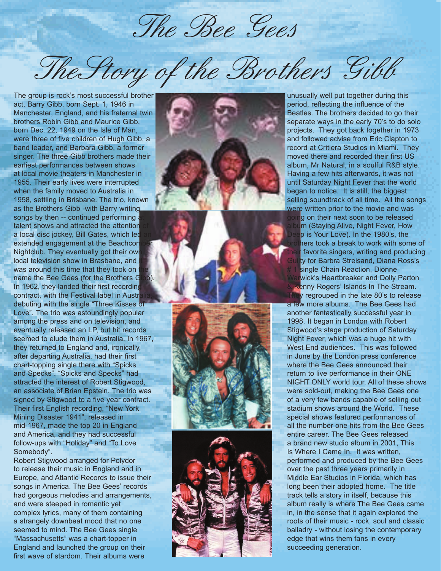The Bee Gees

The Story of the Brothers Gibb

The group is rock's most successful brother act. Barry Gibb, born Sept. 1, 1946 in Manchester, England, and his fraternal twin brothers Robin Gibb and Maurice Gibb, born Dec. 22, 1949 on the Isle of Man, were three of five children of Hugh Gibb, a band leader, and Barbara Gibb, a former singer. The three Gibb brothers made their earliest performances between shows at local movie theaters in Manchester in 1955. Their early lives were interrupted when the family moved to Australia in 1958, settling in Brisbane. The trio, known as the Brothers Gibb -with Barry writing songs by then  $-$  continued performing talent shows and attracted the attention a local disc jockey, Bill Gates, which led extended engagement at the Beachcon Nightclub. They eventually got their own local television show in Brasbane, and was around this time that they took on name the Bee Gees (for the Brothers Gib) In 1962, they landed their first recording contract, with the Festival label in Austral debuting with the single "Three Kisses of Love". The trio was astoundingly popular among the press and on television, and eventually released an LP, but hit records seemed to elude them in Australia. In 1967, they returned to England and, ironically, after departing Australia, had their first chart-topping single there with "Spicks and Specks". "Spicks and Specks" had attracted the interest of Robert Stigwood, an associate of Brian Epstein. The trio was signed by Stigwood to a five year contract. Their first English recording, "New York Mining Disaster 1941", released in mid-1967, made the top 20 in England and America, and they had successful follow-ups with "Holiday" and "To Love Somebody".

Robert Stigwood arranged for Polydor to release their music in England and in Europe, and Atlantic Records to issue their songs in America. The Bee Gees' records had gorgeous melodies and arrangements, and were steeped in romantic yet complex lyrics, many of them containing a strangely downbeat mood that no one seemed to mind. The Bee Gees single "Massachusetts" was a chart-topper in England and launched the group on their first wave of stardom. Their albums were







unusually well put together during this period, reflecting the influence of the Beatles. The brothers decided to go their separate ways in the early 70's to do solo projects. They got back together in 1973 and followed advise from Eric Clapton to record at Critiera Studios in Miami. They moved there and recorded their first US album, Mr Natural, in a soulful R&B style. Having a few hits afterwards, it was not until Saturday Night Fever that the world began to notice. It is still, the biggest selling soundtrack of all time. All the songs were written prior to the movie and was going on their next soon to be released album (Staying Alive, Night Fever, How Deep is Your Love). In the 1980's, the brothers took a break to work with some of their favorite singers, writing and producing Guilty for Barbra Streisand, Diana Ross's # 1 single Chain Reaction, Dionne Warwick's Heartbreaker and Dolly Parton Kenny Rogers' Islands In The Stream.

They regrouped in the late 80's to release a few more albums. The Bee Gees had another fantastically successful year in 1998. It began in London with Robert Stigwood's stage production of Saturday Night Fever, which was a huge hit with West End audiences. This was followed in June by the London press conference where the Bee Gees announced their return to live performance in their ONE NIGHT ONLY world tour. All of these shows were sold-out, making the Bee Gees one of a very few bands capable of selling out stadium shows around the World. These special shows featured performances of all the number one hits from the Bee Gees entire career. The Bee Gees released a brand new studio album in 2001, This Is Where I Came In. It was written, performed and produced by the Bee Gees over the past three years primarily in Middle Ear Studios in Florida, which has long been their adopted home. The title track tells a story in itself, because this album really is where The Bee Gees came in, in the sense that it again explored the roots of their music - rock, soul and classic balladry - without losing the contemporary edge that wins them fans in every succeeding generation.